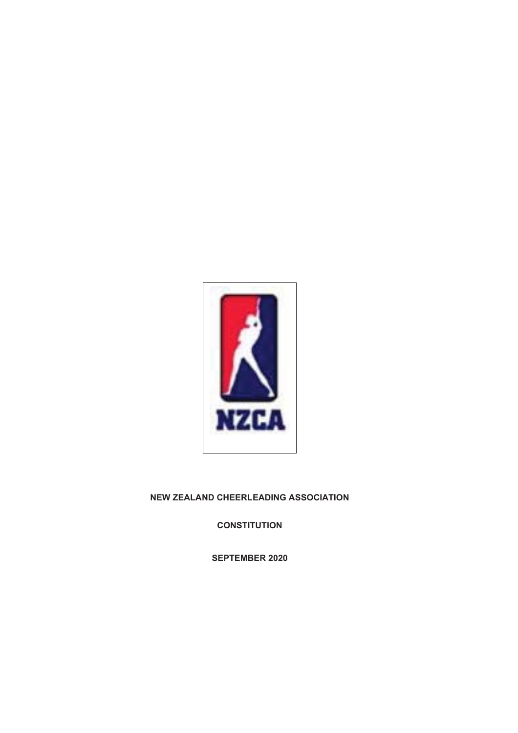

# **NEW ZEALAND CHEERLEADING ASSOCIATION**

**CONSTITUTION** 

**SEPTEMBER 2020**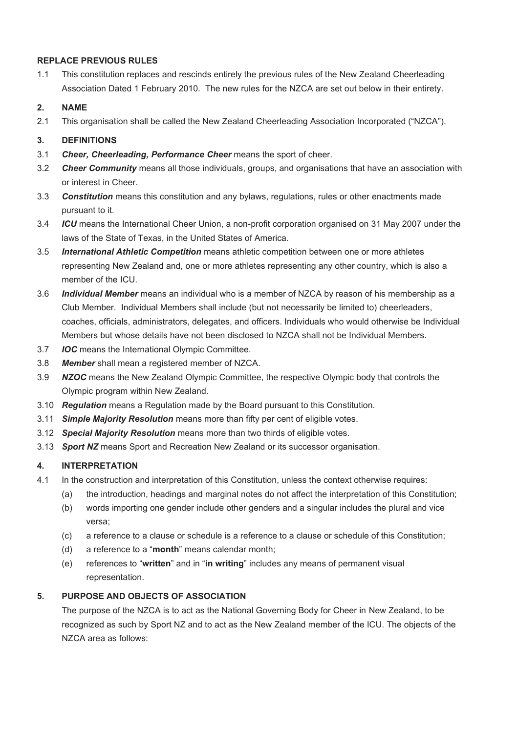# **REPLACE PREVIOUS RULES**

1.1 This constitution replaces and rescinds entirely the previous rules of the New Zealand Cheerleading Association Dated 1 February 2010. The new rules for the NZCA are set out below in their entirety.

# **2. NAME**

2.1 This organisation shall be called the New Zealand Cheerleading Association Incorporated ("NZCA").

# **3. DEFINITIONS**

- 3.1 *Cheer, Cheerleading, Performance Cheer* means the sport of cheer.
- 3.2 *Cheer Community* means all those individuals, groups, and organisations that have an association with or interest in Cheer.
- 3.3 *Constitution* means this constitution and any bylaws, regulations, rules or other enactments made pursuant to it.
- 3.4 *ICU* means the International Cheer Union, a non-profit corporation organised on 31 May 2007 under the laws of the State of Texas, in the United States of America.
- 3.5 *International Athletic Competition* means athletic competition between one or more athletes representing New Zealand and, one or more athletes representing any other country, which is also a member of the ICU.
- 3.6 *Individual Member* means an individual who is a member of NZCA by reason of his membership as a Club Member. Individual Members shall include (but not necessarily be limited to) cheerleaders, coaches, officials, administrators, delegates, and officers. Individuals who would otherwise be Individual Members but whose details have not been disclosed to NZCA shall not be Individual Members.
- 3.7 *IOC* means the International Olympic Committee.
- 3.8 *Member* shall mean a registered member of NZCA.
- 3.9 *NZOC* means the New Zealand Olympic Committee, the respective Olympic body that controls the Olympic program within New Zealand.
- 3.10 *Regulation* means a Regulation made by the Board pursuant to this Constitution.
- 3.11 *Simple Majority Resolution* means more than fifty per cent of eligible votes.
- 3.12 *Special Majority Resolution* means more than two thirds of eligible votes.
- 3.13 *Sport NZ* means Sport and Recreation New Zealand or its successor organisation.

# **4. INTERPRETATION**

- 4.1 In the construction and interpretation of this Constitution, unless the context otherwise requires:
	- (a) the introduction, headings and marginal notes do not affect the interpretation of this Constitution;
	- (b) words importing one gender include other genders and a singular includes the plural and vice versa;
	- (c) a reference to a clause or schedule is a reference to a clause or schedule of this Constitution;
	- (d) a reference to a "**month**" means calendar month;
	- (e) references to "**written**" and in "**in writing**" includes any means of permanent visual representation.

# **5. PURPOSE AND OBJECTS OF ASSOCIATION**

The purpose of the NZCA is to act as the National Governing Body for Cheer in New Zealand, to be recognized as such by Sport NZ and to act as the New Zealand member of the ICU. The objects of the NZCA area as follows: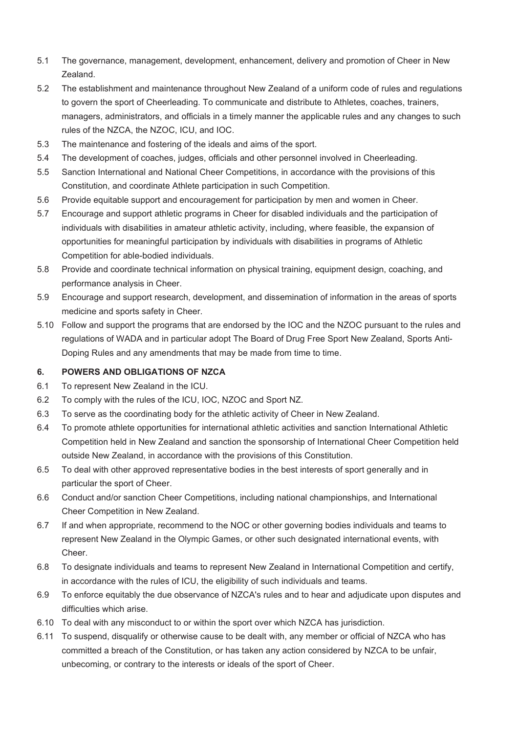- 5.1 The governance, management, development, enhancement, delivery and promotion of Cheer in New Zealand.
- 5.2 The establishment and maintenance throughout New Zealand of a uniform code of rules and regulations to govern the sport of Cheerleading. To communicate and distribute to Athletes, coaches, trainers, managers, administrators, and officials in a timely manner the applicable rules and any changes to such rules of the NZCA, the NZOC, ICU, and IOC.
- 5.3 The maintenance and fostering of the ideals and aims of the sport.
- 5.4 The development of coaches, judges, officials and other personnel involved in Cheerleading.
- 5.5 Sanction International and National Cheer Competitions, in accordance with the provisions of this Constitution, and coordinate Athlete participation in such Competition.
- 5.6 Provide equitable support and encouragement for participation by men and women in Cheer.
- 5.7 Encourage and support athletic programs in Cheer for disabled individuals and the participation of individuals with disabilities in amateur athletic activity, including, where feasible, the expansion of opportunities for meaningful participation by individuals with disabilities in programs of Athletic Competition for able-bodied individuals.
- 5.8 Provide and coordinate technical information on physical training, equipment design, coaching, and performance analysis in Cheer.
- 5.9 Encourage and support research, development, and dissemination of information in the areas of sports medicine and sports safety in Cheer.
- 5.10 Follow and support the programs that are endorsed by the IOC and the NZOC pursuant to the rules and regulations of WADA and in particular adopt The Board of Drug Free Sport New Zealand, Sports Anti-Doping Rules and any amendments that may be made from time to time.

### **6. POWERS AND OBLIGATIONS OF NZCA**

- 6.1 To represent New Zealand in the ICU.
- 6.2 To comply with the rules of the ICU, IOC, NZOC and Sport NZ.
- 6.3 To serve as the coordinating body for the athletic activity of Cheer in New Zealand.
- 6.4 To promote athlete opportunities for international athletic activities and sanction International Athletic Competition held in New Zealand and sanction the sponsorship of International Cheer Competition held outside New Zealand, in accordance with the provisions of this Constitution.
- 6.5 To deal with other approved representative bodies in the best interests of sport generally and in particular the sport of Cheer.
- 6.6 Conduct and/or sanction Cheer Competitions, including national championships, and International Cheer Competition in New Zealand.
- 6.7 If and when appropriate, recommend to the NOC or other governing bodies individuals and teams to represent New Zealand in the Olympic Games, or other such designated international events, with Cheer.
- 6.8 To designate individuals and teams to represent New Zealand in International Competition and certify, in accordance with the rules of ICU, the eligibility of such individuals and teams.
- 6.9 To enforce equitably the due observance of NZCA's rules and to hear and adjudicate upon disputes and difficulties which arise.
- 6.10 To deal with any misconduct to or within the sport over which NZCA has jurisdiction.
- 6.11 To suspend, disqualify or otherwise cause to be dealt with, any member or official of NZCA who has committed a breach of the Constitution, or has taken any action considered by NZCA to be unfair, unbecoming, or contrary to the interests or ideals of the sport of Cheer.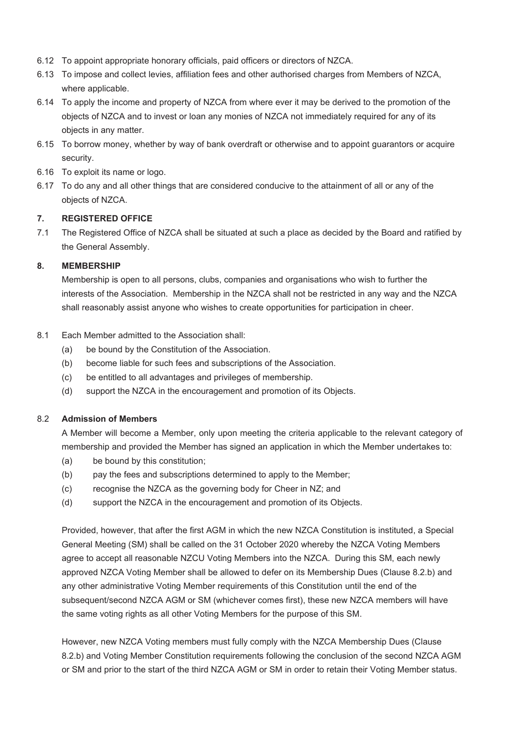- 6.12 To appoint appropriate honorary officials, paid officers or directors of NZCA.
- 6.13 To impose and collect levies, affiliation fees and other authorised charges from Members of NZCA, where applicable.
- 6.14 To apply the income and property of NZCA from where ever it may be derived to the promotion of the objects of NZCA and to invest or loan any monies of NZCA not immediately required for any of its objects in any matter.
- 6.15 To borrow money, whether by way of bank overdraft or otherwise and to appoint guarantors or acquire security.
- 6.16 To exploit its name or logo.
- 6.17 To do any and all other things that are considered conducive to the attainment of all or any of the objects of NZCA.

# **7. REGISTERED OFFICE**

7.1 The Registered Office of NZCA shall be situated at such a place as decided by the Board and ratified by the General Assembly.

# **8. MEMBERSHIP**

Membership is open to all persons, clubs, companies and organisations who wish to further the interests of the Association. Membership in the NZCA shall not be restricted in any way and the NZCA shall reasonably assist anyone who wishes to create opportunities for participation in cheer.

# 8.1 Each Member admitted to the Association shall:

- (a) be bound by the Constitution of the Association.
- (b) become liable for such fees and subscriptions of the Association.
- (c) be entitled to all advantages and privileges of membership.
- (d) support the NZCA in the encouragement and promotion of its Objects.

### 8.2 **Admission of Members**

A Member will become a Member, only upon meeting the criteria applicable to the relevant category of membership and provided the Member has signed an application in which the Member undertakes to:

- (a) be bound by this constitution;
- (b) pay the fees and subscriptions determined to apply to the Member;
- (c) recognise the NZCA as the governing body for Cheer in NZ; and
- (d) support the NZCA in the encouragement and promotion of its Objects.

Provided, however, that after the first AGM in which the new NZCA Constitution is instituted, a Special General Meeting (SM) shall be called on the 31 October 2020 whereby the NZCA Voting Members agree to accept all reasonable NZCU Voting Members into the NZCA. During this SM, each newly approved NZCA Voting Member shall be allowed to defer on its Membership Dues (Clause 8.2.b) and any other administrative Voting Member requirements of this Constitution until the end of the subsequent/second NZCA AGM or SM (whichever comes first), these new NZCA members will have the same voting rights as all other Voting Members for the purpose of this SM.

However, new NZCA Voting members must fully comply with the NZCA Membership Dues (Clause 8.2.b) and Voting Member Constitution requirements following the conclusion of the second NZCA AGM or SM and prior to the start of the third NZCA AGM or SM in order to retain their Voting Member status.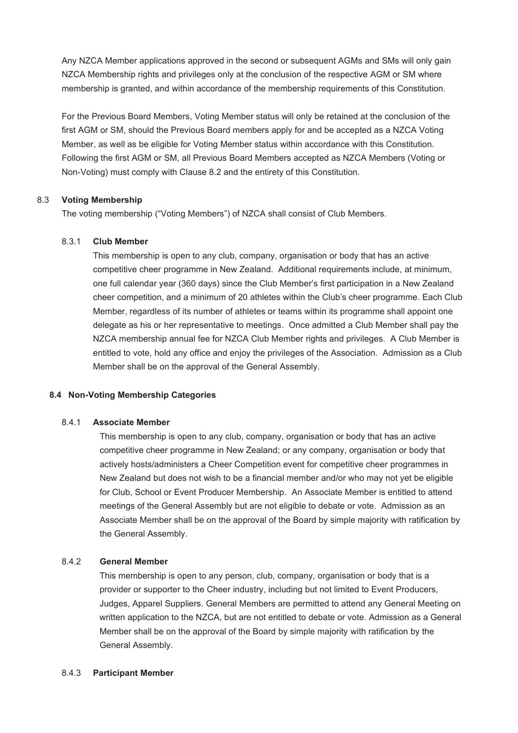Any NZCA Member applications approved in the second or subsequent AGMs and SMs will only gain NZCA Membership rights and privileges only at the conclusion of the respective AGM or SM where membership is granted, and within accordance of the membership requirements of this Constitution.

For the Previous Board Members, Voting Member status will only be retained at the conclusion of the first AGM or SM, should the Previous Board members apply for and be accepted as a NZCA Voting Member, as well as be eligible for Voting Member status within accordance with this Constitution. Following the first AGM or SM, all Previous Board Members accepted as NZCA Members (Voting or Non-Voting) must comply with Clause 8.2 and the entirety of this Constitution.

### 8.3 **Voting Membership**

The voting membership ("Voting Members") of NZCA shall consist of Club Members.

### 8.3.1 **Club Member**

This membership is open to any club, company, organisation or body that has an active competitive cheer programme in New Zealand. Additional requirements include, at minimum, one full calendar year (360 days) since the Club Member's first participation in a New Zealand cheer competition, and a minimum of 20 athletes within the Club's cheer programme. Each Club Member, regardless of its number of athletes or teams within its programme shall appoint one delegate as his or her representative to meetings. Once admitted a Club Member shall pay the NZCA membership annual fee for NZCA Club Member rights and privileges. A Club Member is entitled to vote, hold any office and enjoy the privileges of the Association. Admission as a Club Member shall be on the approval of the General Assembly.

### **8.4 Non-Voting Membership Categories**

#### 8.4.1 **Associate Member**

This membership is open to any club, company, organisation or body that has an active competitive cheer programme in New Zealand; or any company, organisation or body that actively hosts/administers a Cheer Competition event for competitive cheer programmes in New Zealand but does not wish to be a financial member and/or who may not yet be eligible for Club, School or Event Producer Membership. An Associate Member is entitled to attend meetings of the General Assembly but are not eligible to debate or vote. Admission as an Associate Member shall be on the approval of the Board by simple majority with ratification by the General Assembly.

### 8.4.2 **General Member**

This membership is open to any person, club, company, organisation or body that is a provider or supporter to the Cheer industry, including but not limited to Event Producers, Judges, Apparel Suppliers. General Members are permitted to attend any General Meeting on written application to the NZCA, but are not entitled to debate or vote. Admission as a General Member shall be on the approval of the Board by simple majority with ratification by the General Assembly.

### 8.4.3 **Participant Member**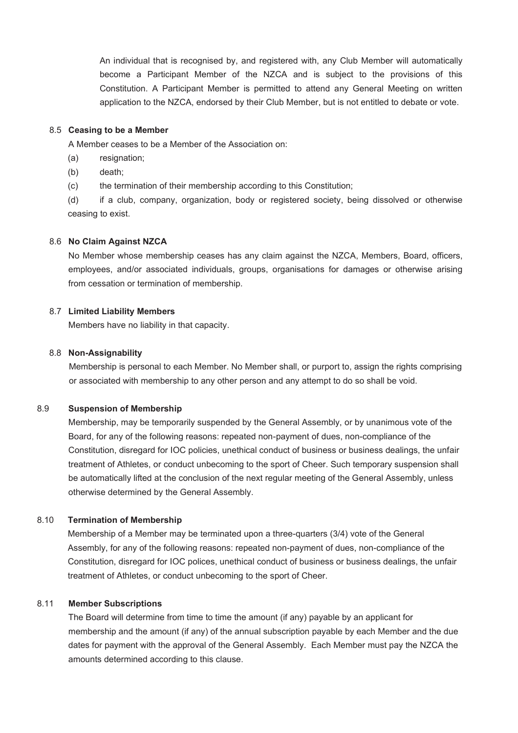An individual that is recognised by, and registered with, any Club Member will automatically become a Participant Member of the NZCA and is subject to the provisions of this Constitution. A Participant Member is permitted to attend any General Meeting on written application to the NZCA, endorsed by their Club Member, but is not entitled to debate or vote.

### 8.5 **Ceasing to be a Member**

A Member ceases to be a Member of the Association on:

- (a) resignation;
- (b) death;
- (c) the termination of their membership according to this Constitution;

(d) if a club, company, organization, body or registered society, being dissolved or otherwise ceasing to exist.

#### 8.6 **No Claim Against NZCA**

No Member whose membership ceases has any claim against the NZCA, Members, Board, officers, employees, and/or associated individuals, groups, organisations for damages or otherwise arising from cessation or termination of membership.

### 8.7 **Limited Liability Members**

Members have no liability in that capacity.

#### 8.8 **Non-Assignability**

Membership is personal to each Member. No Member shall, or purport to, assign the rights comprising or associated with membership to any other person and any attempt to do so shall be void.

# 8.9 **Suspension of Membership**

Membership, may be temporarily suspended by the General Assembly, or by unanimous vote of the Board, for any of the following reasons: repeated non-payment of dues, non-compliance of the Constitution, disregard for IOC policies, unethical conduct of business or business dealings, the unfair treatment of Athletes, or conduct unbecoming to the sport of Cheer. Such temporary suspension shall be automatically lifted at the conclusion of the next regular meeting of the General Assembly, unless otherwise determined by the General Assembly.

### 8.10 **Termination of Membership**

Membership of a Member may be terminated upon a three-quarters (3/4) vote of the General Assembly, for any of the following reasons: repeated non-payment of dues, non-compliance of the Constitution, disregard for IOC polices, unethical conduct of business or business dealings, the unfair treatment of Athletes, or conduct unbecoming to the sport of Cheer.

#### 8.11 **Member Subscriptions**

The Board will determine from time to time the amount (if any) payable by an applicant for membership and the amount (if any) of the annual subscription payable by each Member and the due dates for payment with the approval of the General Assembly. Each Member must pay the NZCA the amounts determined according to this clause.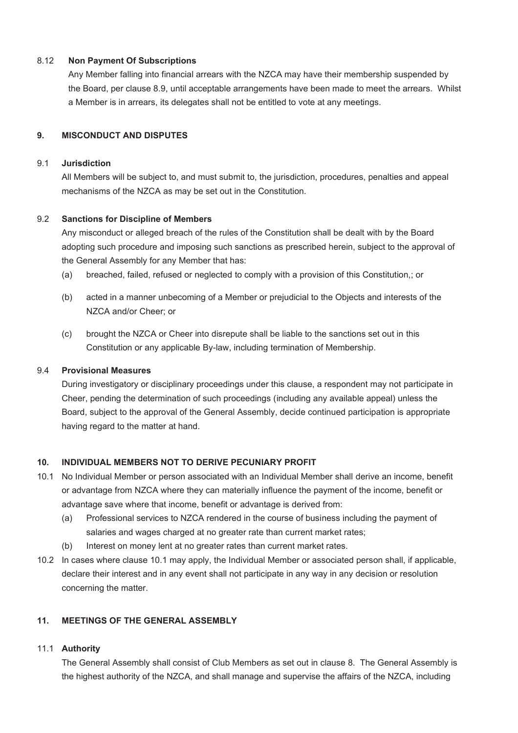# 8.12 **Non Payment Of Subscriptions**

Any Member falling into financial arrears with the NZCA may have their membership suspended by the Board, per clause 8.9, until acceptable arrangements have been made to meet the arrears. Whilst a Member is in arrears, its delegates shall not be entitled to vote at any meetings.

# **9. MISCONDUCT AND DISPUTES**

### 9.1 **Jurisdiction**

All Members will be subject to, and must submit to, the jurisdiction, procedures, penalties and appeal mechanisms of the NZCA as may be set out in the Constitution.

# 9.2 **Sanctions for Discipline of Members**

Any misconduct or alleged breach of the rules of the Constitution shall be dealt with by the Board adopting such procedure and imposing such sanctions as prescribed herein, subject to the approval of the General Assembly for any Member that has:

- (a) breached, failed, refused or neglected to comply with a provision of this Constitution,; or
- (b) acted in a manner unbecoming of a Member or prejudicial to the Objects and interests of the NZCA and/or Cheer; or
- (c) brought the NZCA or Cheer into disrepute shall be liable to the sanctions set out in this Constitution or any applicable By-law, including termination of Membership.

### 9.4 **Provisional Measures**

During investigatory or disciplinary proceedings under this clause, a respondent may not participate in Cheer, pending the determination of such proceedings (including any available appeal) unless the Board, subject to the approval of the General Assembly, decide continued participation is appropriate having regard to the matter at hand.

# **10. INDIVIDUAL MEMBERS NOT TO DERIVE PECUNIARY PROFIT**

- 10.1 No Individual Member or person associated with an Individual Member shall derive an income, benefit or advantage from NZCA where they can materially influence the payment of the income, benefit or advantage save where that income, benefit or advantage is derived from:
	- (a) Professional services to NZCA rendered in the course of business including the payment of salaries and wages charged at no greater rate than current market rates;
	- (b) Interest on money lent at no greater rates than current market rates.
- 10.2 In cases where clause 10.1 may apply, the Individual Member or associated person shall, if applicable, declare their interest and in any event shall not participate in any way in any decision or resolution concerning the matter.

# **11. MEETINGS OF THE GENERAL ASSEMBLY**

### 11.1 **Authority**

The General Assembly shall consist of Club Members as set out in clause 8. The General Assembly is the highest authority of the NZCA, and shall manage and supervise the affairs of the NZCA, including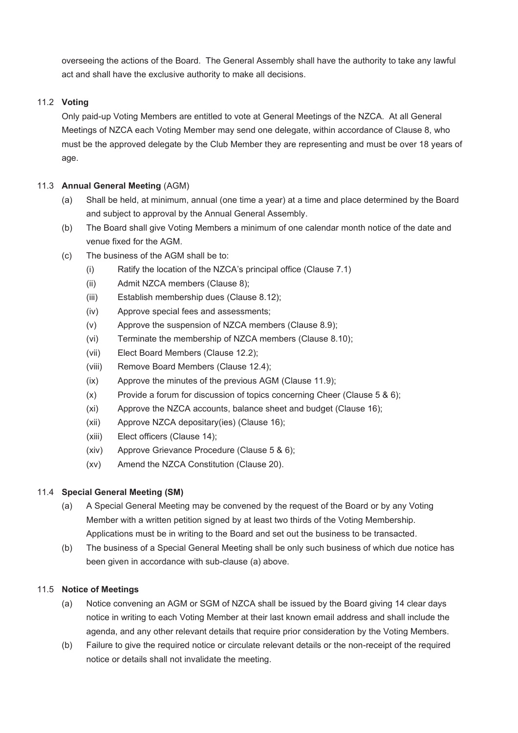overseeing the actions of the Board. The General Assembly shall have the authority to take any lawful act and shall have the exclusive authority to make all decisions.

# 11.2 **Voting**

Only paid-up Voting Members are entitled to vote at General Meetings of the NZCA. At all General Meetings of NZCA each Voting Member may send one delegate, within accordance of Clause 8, who must be the approved delegate by the Club Member they are representing and must be over 18 years of age.

# 11.3 **Annual General Meeting** (AGM)

- (a) Shall be held, at minimum, annual (one time a year) at a time and place determined by the Board and subject to approval by the Annual General Assembly.
- (b) The Board shall give Voting Members a minimum of one calendar month notice of the date and venue fixed for the AGM.
- (c) The business of the AGM shall be to:
	- (i) Ratify the location of the NZCA's principal office (Clause 7.1)
	- (ii) Admit NZCA members (Clause 8);
	- (iii) Establish membership dues (Clause 8.12);
	- (iv) Approve special fees and assessments;
	- (v) Approve the suspension of NZCA members (Clause 8.9);
	- (vi) Terminate the membership of NZCA members (Clause 8.10);
	- (vii) Elect Board Members (Clause 12.2);
	- (viii) Remove Board Members (Clause 12.4);
	- (ix) Approve the minutes of the previous AGM (Clause 11.9);
	- $(x)$  Provide a forum for discussion of topics concerning Cheer (Clause 5 & 6);
	- (xi) Approve the NZCA accounts, balance sheet and budget (Clause 16);
	- (xii) Approve NZCA depositary(ies) (Clause 16);
	- (xiii) Elect officers (Clause 14);
	- (xiv) Approve Grievance Procedure (Clause 5 & 6);
	- (xv) Amend the NZCA Constitution (Clause 20).

# 11.4 **Special General Meeting (SM)**

- (a) A Special General Meeting may be convened by the request of the Board or by any Voting Member with a written petition signed by at least two thirds of the Voting Membership. Applications must be in writing to the Board and set out the business to be transacted.
- (b) The business of a Special General Meeting shall be only such business of which due notice has been given in accordance with sub-clause (a) above.

# 11.5 **Notice of Meetings**

- (a) Notice convening an AGM or SGM of NZCA shall be issued by the Board giving 14 clear days notice in writing to each Voting Member at their last known email address and shall include the agenda, and any other relevant details that require prior consideration by the Voting Members.
- (b) Failure to give the required notice or circulate relevant details or the non-receipt of the required notice or details shall not invalidate the meeting.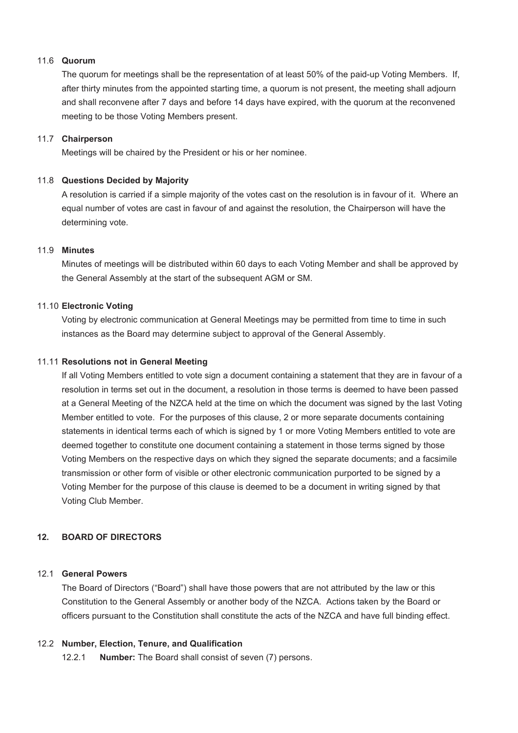### 11.6 **Quorum**

The quorum for meetings shall be the representation of at least 50% of the paid-up Voting Members. If, after thirty minutes from the appointed starting time, a quorum is not present, the meeting shall adjourn and shall reconvene after 7 days and before 14 days have expired, with the quorum at the reconvened meeting to be those Voting Members present.

### 11.7 **Chairperson**

Meetings will be chaired by the President or his or her nominee.

# 11.8 **Questions Decided by Majority**

A resolution is carried if a simple majority of the votes cast on the resolution is in favour of it. Where an equal number of votes are cast in favour of and against the resolution, the Chairperson will have the determining vote.

# 11.9 **Minutes**

Minutes of meetings will be distributed within 60 days to each Voting Member and shall be approved by the General Assembly at the start of the subsequent AGM or SM.

# 11.10 **Electronic Voting**

Voting by electronic communication at General Meetings may be permitted from time to time in such instances as the Board may determine subject to approval of the General Assembly.

### 11.11 **Resolutions not in General Meeting**

If all Voting Members entitled to vote sign a document containing a statement that they are in favour of a resolution in terms set out in the document, a resolution in those terms is deemed to have been passed at a General Meeting of the NZCA held at the time on which the document was signed by the last Voting Member entitled to vote. For the purposes of this clause, 2 or more separate documents containing statements in identical terms each of which is signed by 1 or more Voting Members entitled to vote are deemed together to constitute one document containing a statement in those terms signed by those Voting Members on the respective days on which they signed the separate documents; and a facsimile transmission or other form of visible or other electronic communication purported to be signed by a Voting Member for the purpose of this clause is deemed to be a document in writing signed by that Voting Club Member.

# **12. BOARD OF DIRECTORS**

### 12.1 **General Powers**

The Board of Directors ("Board") shall have those powers that are not attributed by the law or this Constitution to the General Assembly or another body of the NZCA. Actions taken by the Board or officers pursuant to the Constitution shall constitute the acts of the NZCA and have full binding effect.

### 12.2 **Number, Election, Tenure, and Qualification**

12.2.1 **Number:** The Board shall consist of seven (7) persons.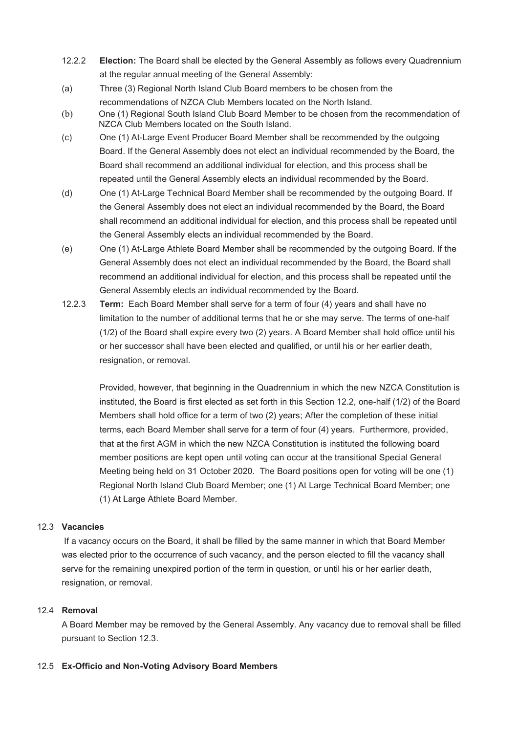- 12.2.2 **Election:** The Board shall be elected by the General Assembly as follows every Quadrennium at the regular annual meeting of the General Assembly:
- (a) Three (3) Regional North Island Club Board members to be chosen from the recommendations of NZCA Club Members located on the North Island.
- (b) One (1) Regional South Island Club Board Member to be chosen from the recommendation of NZCA Club Members located on the South Island.
- (c) One (1) At-Large Event Producer Board Member shall be recommended by the outgoing Board. If the General Assembly does not elect an individual recommended by the Board, the Board shall recommend an additional individual for election, and this process shall be repeated until the General Assembly elects an individual recommended by the Board.
- (d) One (1) At-Large Technical Board Member shall be recommended by the outgoing Board. If the General Assembly does not elect an individual recommended by the Board, the Board shall recommend an additional individual for election, and this process shall be repeated until the General Assembly elects an individual recommended by the Board.
- (e) One (1) At-Large Athlete Board Member shall be recommended by the outgoing Board. If the General Assembly does not elect an individual recommended by the Board, the Board shall recommend an additional individual for election, and this process shall be repeated until the General Assembly elects an individual recommended by the Board.
- 12.2.3 **Term:** Each Board Member shall serve for a term of four (4) years and shall have no limitation to the number of additional terms that he or she may serve. The terms of one-half (1/2) of the Board shall expire every two (2) years. A Board Member shall hold office until his or her successor shall have been elected and qualified, or until his or her earlier death, resignation, or removal.

Provided, however, that beginning in the Quadrennium in which the new NZCA Constitution is instituted, the Board is first elected as set forth in this Section 12.2, one-half (1/2) of the Board Members shall hold office for a term of two (2) years; After the completion of these initial terms, each Board Member shall serve for a term of four (4) years. Furthermore, provided, that at the first AGM in which the new NZCA Constitution is instituted the following board member positions are kept open until voting can occur at the transitional Special General Meeting being held on 31 October 2020. The Board positions open for voting will be one (1) Regional North Island Club Board Member; one (1) At Large Technical Board Member; one (1) At Large Athlete Board Member.

### 12.3 **Vacancies**

 If a vacancy occurs on the Board, it shall be filled by the same manner in which that Board Member was elected prior to the occurrence of such vacancy, and the person elected to fill the vacancy shall serve for the remaining unexpired portion of the term in question, or until his or her earlier death, resignation, or removal.

# 12.4 **Removal**

A Board Member may be removed by the General Assembly. Any vacancy due to removal shall be filled pursuant to Section 12.3.

### 12.5 **Ex-Officio and Non-Voting Advisory Board Members**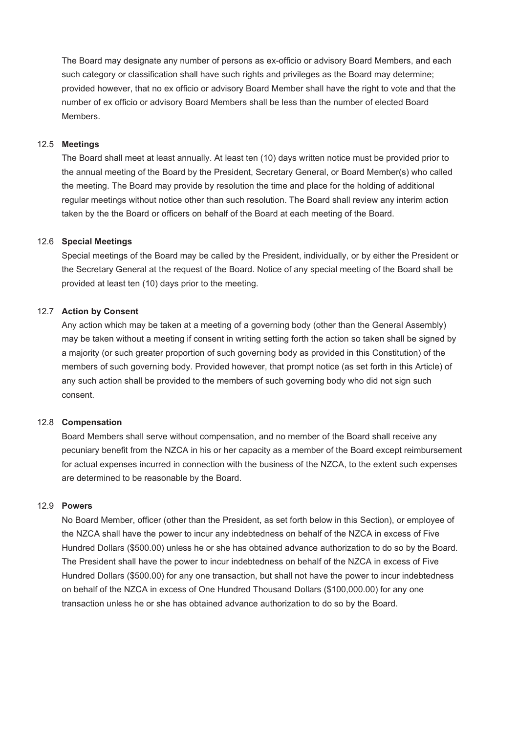The Board may designate any number of persons as ex-officio or advisory Board Members, and each such category or classification shall have such rights and privileges as the Board may determine; provided however, that no ex officio or advisory Board Member shall have the right to vote and that the number of ex officio or advisory Board Members shall be less than the number of elected Board **Members** 

#### 12.5 **Meetings**

The Board shall meet at least annually. At least ten (10) days written notice must be provided prior to the annual meeting of the Board by the President, Secretary General, or Board Member(s) who called the meeting. The Board may provide by resolution the time and place for the holding of additional regular meetings without notice other than such resolution. The Board shall review any interim action taken by the the Board or officers on behalf of the Board at each meeting of the Board.

#### 12.6 **Special Meetings**

Special meetings of the Board may be called by the President, individually, or by either the President or the Secretary General at the request of the Board. Notice of any special meeting of the Board shall be provided at least ten (10) days prior to the meeting.

### 12.7 **Action by Consent**

Any action which may be taken at a meeting of a governing body (other than the General Assembly) may be taken without a meeting if consent in writing setting forth the action so taken shall be signed by a majority (or such greater proportion of such governing body as provided in this Constitution) of the members of such governing body. Provided however, that prompt notice (as set forth in this Article) of any such action shall be provided to the members of such governing body who did not sign such consent.

#### 12.8 **Compensation**

Board Members shall serve without compensation, and no member of the Board shall receive any pecuniary benefit from the NZCA in his or her capacity as a member of the Board except reimbursement for actual expenses incurred in connection with the business of the NZCA, to the extent such expenses are determined to be reasonable by the Board.

#### 12.9 **Powers**

No Board Member, officer (other than the President, as set forth below in this Section), or employee of the NZCA shall have the power to incur any indebtedness on behalf of the NZCA in excess of Five Hundred Dollars (\$500.00) unless he or she has obtained advance authorization to do so by the Board. The President shall have the power to incur indebtedness on behalf of the NZCA in excess of Five Hundred Dollars (\$500.00) for any one transaction, but shall not have the power to incur indebtedness on behalf of the NZCA in excess of One Hundred Thousand Dollars (\$100,000.00) for any one transaction unless he or she has obtained advance authorization to do so by the Board.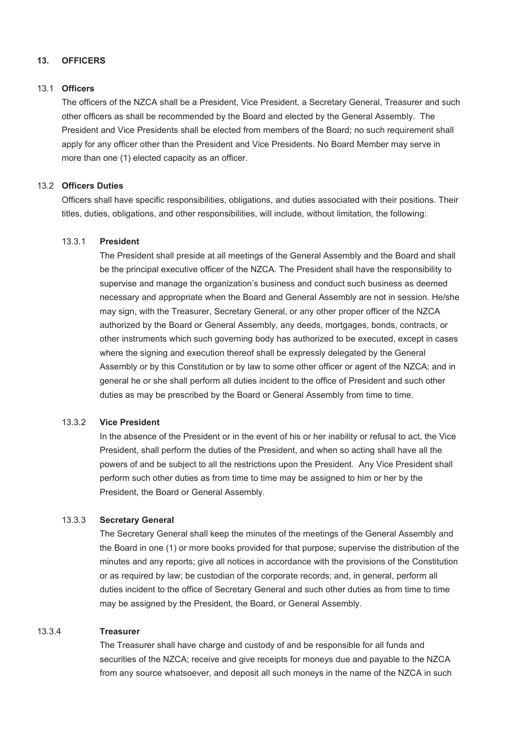# **13. OFFICERS**

### 13.1 **Officers**

The officers of the NZCA shall be a President, Vice President, a Secretary General, Treasurer and such other officers as shall be recommended by the Board and elected by the General Assembly. The President and Vice Presidents shall be elected from members of the Board; no such requirement shall apply for any officer other than the President and Vice Presidents. No Board Member may serve in more than one (1) elected capacity as an officer.

# 13.2 **Officers Duties**

Officers shall have specific responsibilities, obligations, and duties associated with their positions. Their titles, duties, obligations, and other responsibilities, will include, without limitation, the following:

### 13.3.1 **President**

The President shall preside at all meetings of the General Assembly and the Board and shall be the principal executive officer of the NZCA. The President shall have the responsibility to supervise and manage the organization's business and conduct such business as deemed necessary and appropriate when the Board and General Assembly are not in session. He/she may sign, with the Treasurer, Secretary General, or any other proper officer of the NZCA authorized by the Board or General Assembly, any deeds, mortgages, bonds, contracts, or other instruments which such governing body has authorized to be executed, except in cases where the signing and execution thereof shall be expressly delegated by the General Assembly or by this Constitution or by law to some other officer or agent of the NZCA; and in general he or she shall perform all duties incident to the office of President and such other duties as may be prescribed by the Board or General Assembly from time to time.

#### 13.3.2 **Vice President**

In the absence of the President or in the event of his or her inability or refusal to act, the Vice President, shall perform the duties of the President, and when so acting shall have all the powers of and be subject to all the restrictions upon the President. Any Vice President shall perform such other duties as from time to time may be assigned to him or her by the President, the Board or General Assembly.

### 13.3.3 **Secretary General**

The Secretary General shall keep the minutes of the meetings of the General Assembly and the Board in one (1) or more books provided for that purpose; supervise the distribution of the minutes and any reports; give all notices in accordance with the provisions of the Constitution or as required by law; be custodian of the corporate records; and, in general, perform all duties incident to the office of Secretary General and such other duties as from time to time may be assigned by the President, the Board, or General Assembly.

#### 13.3.4 **Treasurer**

The Treasurer shall have charge and custody of and be responsible for all funds and securities of the NZCA; receive and give receipts for moneys due and payable to the NZCA from any source whatsoever, and deposit all such moneys in the name of the NZCA in such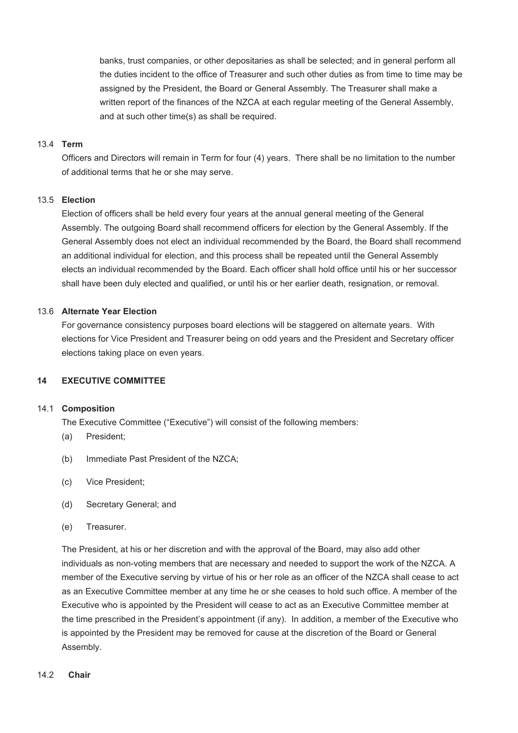banks, trust companies, or other depositaries as shall be selected; and in general perform all the duties incident to the office of Treasurer and such other duties as from time to time may be assigned by the President, the Board or General Assembly. The Treasurer shall make a written report of the finances of the NZCA at each regular meeting of the General Assembly, and at such other time(s) as shall be required.

#### 13.4 **Term**

Officers and Directors will remain in Term for four (4) years. There shall be no limitation to the number of additional terms that he or she may serve.

### 13.5 **Election**

Election of officers shall be held every four years at the annual general meeting of the General Assembly. The outgoing Board shall recommend officers for election by the General Assembly. If the General Assembly does not elect an individual recommended by the Board, the Board shall recommend an additional individual for election, and this process shall be repeated until the General Assembly elects an individual recommended by the Board. Each officer shall hold office until his or her successor shall have been duly elected and qualified, or until his or her earlier death, resignation, or removal.

### 13.6 **Alternate Year Election**

For governance consistency purposes board elections will be staggered on alternate years. With elections for Vice President and Treasurer being on odd years and the President and Secretary officer elections taking place on even years.

### **14 EXECUTIVE COMMITTEE**

#### 14.1 **Composition**

The Executive Committee ("Executive") will consist of the following members:

- (a) President;
- (b) Immediate Past President of the NZCA;
- (c) Vice President;
- (d) Secretary General; and
- (e) Treasurer.

The President, at his or her discretion and with the approval of the Board, may also add other individuals as non-voting members that are necessary and needed to support the work of the NZCA. A member of the Executive serving by virtue of his or her role as an officer of the NZCA shall cease to act as an Executive Committee member at any time he or she ceases to hold such office. A member of the Executive who is appointed by the President will cease to act as an Executive Committee member at the time prescribed in the President's appointment (if any). In addition, a member of the Executive who is appointed by the President may be removed for cause at the discretion of the Board or General Assembly.

### 14.2 **Chair**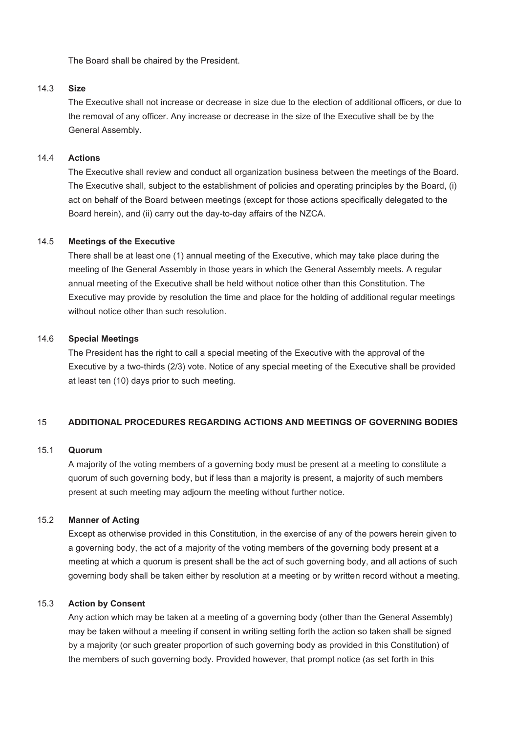The Board shall be chaired by the President.

#### 14.3 **Size**

The Executive shall not increase or decrease in size due to the election of additional officers, or due to the removal of any officer. Any increase or decrease in the size of the Executive shall be by the General Assembly.

### 14.4 **Actions**

The Executive shall review and conduct all organization business between the meetings of the Board. The Executive shall, subject to the establishment of policies and operating principles by the Board, (i) act on behalf of the Board between meetings (except for those actions specifically delegated to the Board herein), and (ii) carry out the day-to-day affairs of the NZCA.

#### 14.5 **Meetings of the Executive**

There shall be at least one (1) annual meeting of the Executive, which may take place during the meeting of the General Assembly in those years in which the General Assembly meets. A regular annual meeting of the Executive shall be held without notice other than this Constitution. The Executive may provide by resolution the time and place for the holding of additional regular meetings without notice other than such resolution.

### 14.6 **Special Meetings**

The President has the right to call a special meeting of the Executive with the approval of the Executive by a two-thirds (2/3) vote. Notice of any special meeting of the Executive shall be provided at least ten (10) days prior to such meeting.

### 15 **ADDITIONAL PROCEDURES REGARDING ACTIONS AND MEETINGS OF GOVERNING BODIES**

#### 15.1 **Quorum**

A majority of the voting members of a governing body must be present at a meeting to constitute a quorum of such governing body, but if less than a majority is present, a majority of such members present at such meeting may adjourn the meeting without further notice.

# 15.2 **Manner of Acting**

Except as otherwise provided in this Constitution, in the exercise of any of the powers herein given to a governing body, the act of a majority of the voting members of the governing body present at a meeting at which a quorum is present shall be the act of such governing body, and all actions of such governing body shall be taken either by resolution at a meeting or by written record without a meeting.

### 15.3 **Action by Consent**

Any action which may be taken at a meeting of a governing body (other than the General Assembly) may be taken without a meeting if consent in writing setting forth the action so taken shall be signed by a majority (or such greater proportion of such governing body as provided in this Constitution) of the members of such governing body. Provided however, that prompt notice (as set forth in this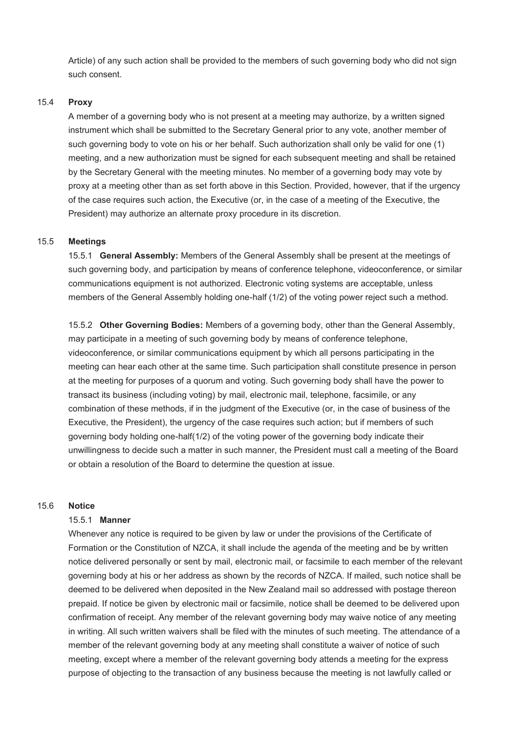Article) of any such action shall be provided to the members of such governing body who did not sign such consent.

#### 15.4 **Proxy**

A member of a governing body who is not present at a meeting may authorize, by a written signed instrument which shall be submitted to the Secretary General prior to any vote, another member of such governing body to vote on his or her behalf. Such authorization shall only be valid for one (1) meeting, and a new authorization must be signed for each subsequent meeting and shall be retained by the Secretary General with the meeting minutes. No member of a governing body may vote by proxy at a meeting other than as set forth above in this Section. Provided, however, that if the urgency of the case requires such action, the Executive (or, in the case of a meeting of the Executive, the President) may authorize an alternate proxy procedure in its discretion.

#### 15.5 **Meetings**

15.5.1 **General Assembly:** Members of the General Assembly shall be present at the meetings of such governing body, and participation by means of conference telephone, videoconference, or similar communications equipment is not authorized. Electronic voting systems are acceptable, unless members of the General Assembly holding one-half (1/2) of the voting power reject such a method.

15.5.2 **Other Governing Bodies:** Members of a governing body, other than the General Assembly, may participate in a meeting of such governing body by means of conference telephone, videoconference, or similar communications equipment by which all persons participating in the meeting can hear each other at the same time. Such participation shall constitute presence in person at the meeting for purposes of a quorum and voting. Such governing body shall have the power to transact its business (including voting) by mail, electronic mail, telephone, facsimile, or any combination of these methods, if in the judgment of the Executive (or, in the case of business of the Executive, the President), the urgency of the case requires such action; but if members of such governing body holding one-half(1/2) of the voting power of the governing body indicate their unwillingness to decide such a matter in such manner, the President must call a meeting of the Board or obtain a resolution of the Board to determine the question at issue.

#### 15.6 **Notice**

#### 15.5.1 **Manner**

Whenever any notice is required to be given by law or under the provisions of the Certificate of Formation or the Constitution of NZCA, it shall include the agenda of the meeting and be by written notice delivered personally or sent by mail, electronic mail, or facsimile to each member of the relevant governing body at his or her address as shown by the records of NZCA. If mailed, such notice shall be deemed to be delivered when deposited in the New Zealand mail so addressed with postage thereon prepaid. If notice be given by electronic mail or facsimile, notice shall be deemed to be delivered upon confirmation of receipt. Any member of the relevant governing body may waive notice of any meeting in writing. All such written waivers shall be filed with the minutes of such meeting. The attendance of a member of the relevant governing body at any meeting shall constitute a waiver of notice of such meeting, except where a member of the relevant governing body attends a meeting for the express purpose of objecting to the transaction of any business because the meeting is not lawfully called or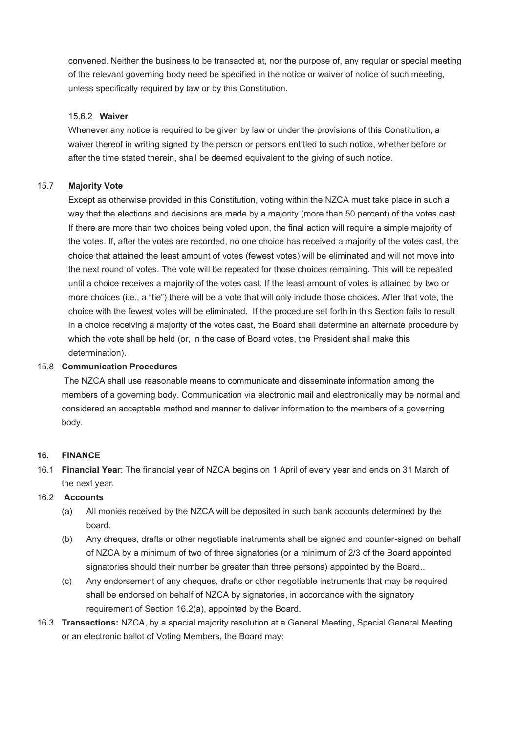convened. Neither the business to be transacted at, nor the purpose of, any regular or special meeting of the relevant governing body need be specified in the notice or waiver of notice of such meeting, unless specifically required by law or by this Constitution.

### 15.6.2 **Waiver**

Whenever any notice is required to be given by law or under the provisions of this Constitution, a waiver thereof in writing signed by the person or persons entitled to such notice, whether before or after the time stated therein, shall be deemed equivalent to the giving of such notice.

# 15.7 **Majority Vote**

Except as otherwise provided in this Constitution, voting within the NZCA must take place in such a way that the elections and decisions are made by a majority (more than 50 percent) of the votes cast. If there are more than two choices being voted upon, the final action will require a simple majority of the votes. If, after the votes are recorded, no one choice has received a majority of the votes cast, the choice that attained the least amount of votes (fewest votes) will be eliminated and will not move into the next round of votes. The vote will be repeated for those choices remaining. This will be repeated until a choice receives a majority of the votes cast. If the least amount of votes is attained by two or more choices (i.e., a "tie") there will be a vote that will only include those choices. After that vote, the choice with the fewest votes will be eliminated. If the procedure set forth in this Section fails to result in a choice receiving a majority of the votes cast, the Board shall determine an alternate procedure by which the vote shall be held (or, in the case of Board votes, the President shall make this determination).

# 15.8 **Communication Procedures**

 The NZCA shall use reasonable means to communicate and disseminate information among the members of a governing body. Communication via electronic mail and electronically may be normal and considered an acceptable method and manner to deliver information to the members of a governing body.

# **16. FINANCE**

16.1 **Financial Year**: The financial year of NZCA begins on 1 April of every year and ends on 31 March of the next year.

# 16.2 **Accounts**

- (a) All monies received by the NZCA will be deposited in such bank accounts determined by the board.
- (b) Any cheques, drafts or other negotiable instruments shall be signed and counter-signed on behalf of NZCA by a minimum of two of three signatories (or a minimum of 2/3 of the Board appointed signatories should their number be greater than three persons) appointed by the Board..
- (c) Any endorsement of any cheques, drafts or other negotiable instruments that may be required shall be endorsed on behalf of NZCA by signatories, in accordance with the signatory requirement of Section 16.2(a), appointed by the Board.
- 16.3 **Transactions:** NZCA, by a special majority resolution at a General Meeting, Special General Meeting or an electronic ballot of Voting Members, the Board may: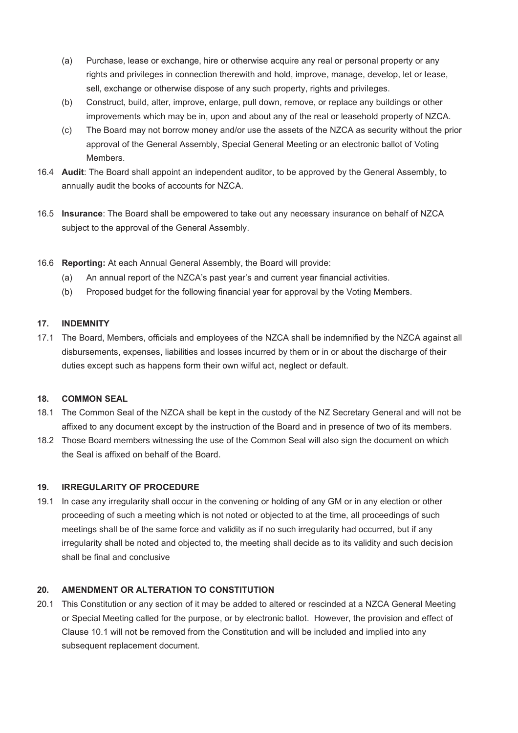- (a) Purchase, lease or exchange, hire or otherwise acquire any real or personal property or any rights and privileges in connection therewith and hold, improve, manage, develop, let or lease, sell, exchange or otherwise dispose of any such property, rights and privileges.
- (b) Construct, build, alter, improve, enlarge, pull down, remove, or replace any buildings or other improvements which may be in, upon and about any of the real or leasehold property of NZCA.
- (c) The Board may not borrow money and/or use the assets of the NZCA as security without the prior approval of the General Assembly, Special General Meeting or an electronic ballot of Voting Members.
- 16.4 **Audit**: The Board shall appoint an independent auditor, to be approved by the General Assembly, to annually audit the books of accounts for NZCA.
- 16.5 **Insurance**: The Board shall be empowered to take out any necessary insurance on behalf of NZCA subject to the approval of the General Assembly.
- 16.6 **Reporting:** At each Annual General Assembly, the Board will provide:
	- (a) An annual report of the NZCA's past year's and current year financial activities.
	- (b) Proposed budget for the following financial year for approval by the Voting Members.

# **17. INDEMNITY**

17.1 The Board, Members, officials and employees of the NZCA shall be indemnified by the NZCA against all disbursements, expenses, liabilities and losses incurred by them or in or about the discharge of their duties except such as happens form their own wilful act, neglect or default.

# **18. COMMON SEAL**

- 18.1 The Common Seal of the NZCA shall be kept in the custody of the NZ Secretary General and will not be affixed to any document except by the instruction of the Board and in presence of two of its members.
- 18.2 Those Board members witnessing the use of the Common Seal will also sign the document on which the Seal is affixed on behalf of the Board.

# **19. IRREGULARITY OF PROCEDURE**

19.1 In case any irregularity shall occur in the convening or holding of any GM or in any election or other proceeding of such a meeting which is not noted or objected to at the time, all proceedings of such meetings shall be of the same force and validity as if no such irregularity had occurred, but if any irregularity shall be noted and objected to, the meeting shall decide as to its validity and such decision shall be final and conclusive

# **20. AMENDMENT OR ALTERATION TO CONSTITUTION**

20.1 This Constitution or any section of it may be added to altered or rescinded at a NZCA General Meeting or Special Meeting called for the purpose, or by electronic ballot. However, the provision and effect of Clause 10.1 will not be removed from the Constitution and will be included and implied into any subsequent replacement document.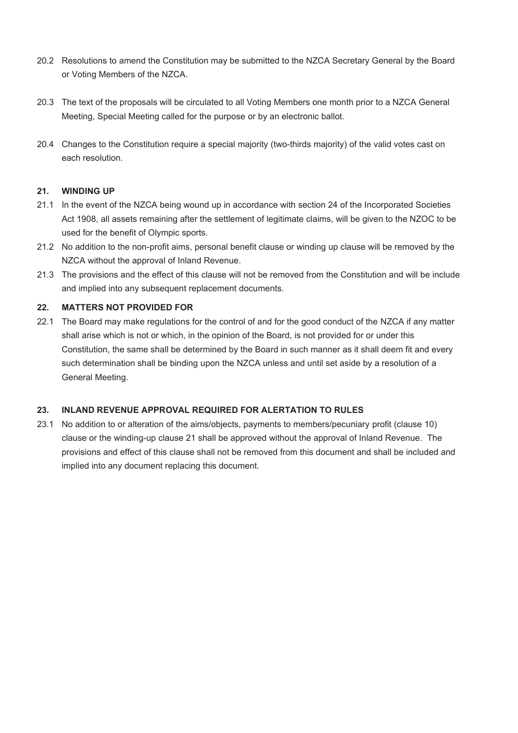- 20.2 Resolutions to amend the Constitution may be submitted to the NZCA Secretary General by the Board or Voting Members of the NZCA.
- 20.3 The text of the proposals will be circulated to all Voting Members one month prior to a NZCA General Meeting, Special Meeting called for the purpose or by an electronic ballot.
- 20.4 Changes to the Constitution require a special majority (two-thirds majority) of the valid votes cast on each resolution.

# **21. WINDING UP**

- 21.1 In the event of the NZCA being wound up in accordance with section 24 of the Incorporated Societies Act 1908, all assets remaining after the settlement of legitimate claims, will be given to the NZOC to be used for the benefit of Olympic sports.
- 21.2 No addition to the non-profit aims, personal benefit clause or winding up clause will be removed by the NZCA without the approval of Inland Revenue.
- 21.3 The provisions and the effect of this clause will not be removed from the Constitution and will be include and implied into any subsequent replacement documents.

# **22. MATTERS NOT PROVIDED FOR**

22.1 The Board may make regulations for the control of and for the good conduct of the NZCA if any matter shall arise which is not or which, in the opinion of the Board, is not provided for or under this Constitution, the same shall be determined by the Board in such manner as it shall deem fit and every such determination shall be binding upon the NZCA unless and until set aside by a resolution of a General Meeting.

### **23. INLAND REVENUE APPROVAL REQUIRED FOR ALERTATION TO RULES**

23.1 No addition to or alteration of the aims/objects, payments to members/pecuniary profit (clause 10) clause or the winding-up clause 21 shall be approved without the approval of Inland Revenue. The provisions and effect of this clause shall not be removed from this document and shall be included and implied into any document replacing this document.